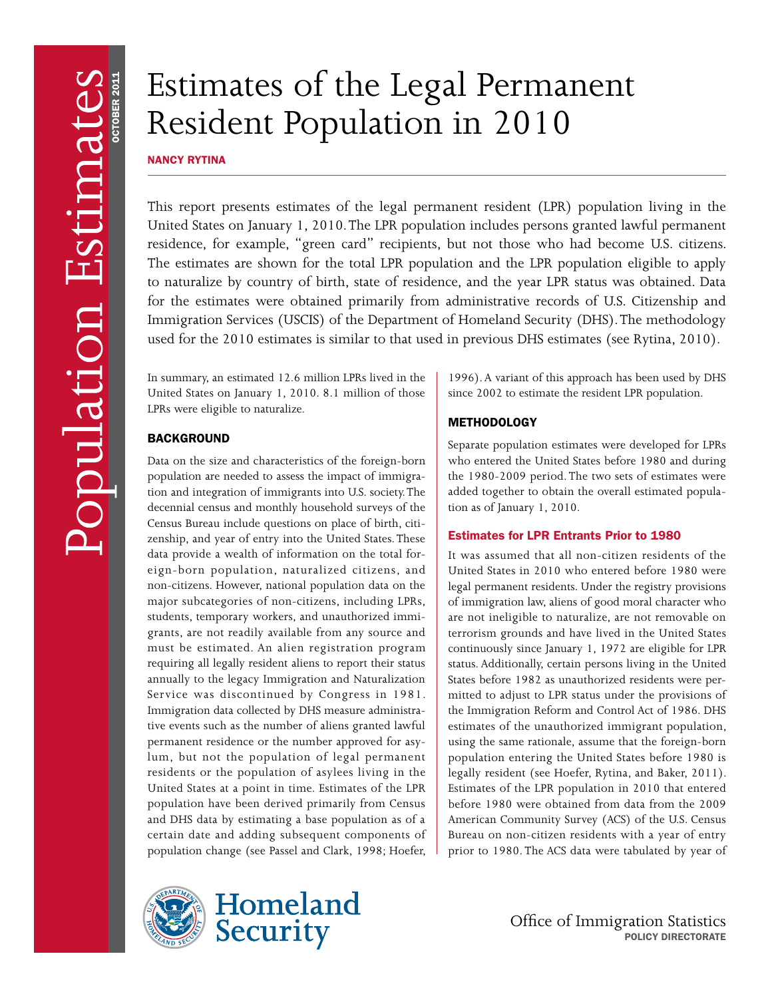# Estimates of the Legal Permanent Resident Population in 2010

NANCY RYTINA

This report presents estimates of the legal permanent resident (LPR) population living in the United States on January 1, 2010. The LPR population includes persons granted lawful permanent residence, for example, "green card" recipients, but not those who had become U.S. citizens. The estimates are shown for the total LPR population and the LPR population eligible to apply to naturalize by country of birth, state of residence, and the year LPR status was obtained. Data for the estimates were obtained primarily from administrative records of U.S. Citizenship and Immigration Services (USCIS) of the Department of Homeland Security (DHS). The methodology used for the 2010 estimates is similar to that used in previous DHS estimates (see Rytina, 2010).

In summary, an estimated 12.6 million LPRs lived in the United States on January 1, 2010. 8.1 million of those LPRs were eligible to naturalize.

# BACKGROUND

Data on the size and characteristics of the foreign-born population are needed to assess the impact of immigration and integration of immigrants into U.S. society. The decennial census and monthly household surveys of the Census Bureau include questions on place of birth, citizenship, and year of entry into the United States. These data provide a wealth of information on the total foreign-born population, naturalized citizens, and non-citizens. However, national population data on the major subcategories of non-citizens, including LPRs, students, temporary workers, and unauthorized immigrants, are not readily available from any source and must be estimated. An alien registration program requiring all legally resident aliens to report their status annually to the legacy Immigration and Naturalization Service was discontinued by Congress in 1981. Immigration data collected by DHS measure administrative events such as the number of aliens granted lawful permanent residence or the number approved for asylum, but not the population of legal permanent residents or the population of asylees living in the United States at a point in time. Estimates of the LPR population have been derived primarily from Census and DHS data by estimating a base population as of a certain date and adding subsequent components of population change (see Passel and Clark, 1998; Hoefer,



# **METHODOLOGY**

Separate population estimates were developed for LPRs who entered the United States before 1980 and during the 1980-2009 period. The two sets of estimates were added together to obtain the overall estimated population as of January 1, 2010.

# Estimates for LPR Entrants Prior to 1980

It was assumed that all non-citizen residents of the United States in 2010 who entered before 1980 were legal permanent residents. Under the registry provisions of immigration law, aliens of good moral character who are not ineligible to naturalize, are not removable on terrorism grounds and have lived in the United States continuously since January 1, 1972 are eligible for LPR status. Additionally, certain persons living in the United States before 1982 as unauthorized residents were permitted to adjust to LPR status under the provisions of the Immigration Reform and Control Act of 1986. DHS estimates of the unauthorized immigrant population, using the same rationale, assume that the foreign-born population entering the United States before 1980 is legally resident (see Hoefer, Rytina, and Baker, 2011). Estimates of the LPR population in 2010 that entered before 1980 were obtained from data from the 2009 American Community Survey (ACS) of the U.S. Census Bureau on non-citizen residents with a year of entry prior to 1980. The ACS data were tabulated by year of





Office of Immigration Statistics POLICY DIRECTORATE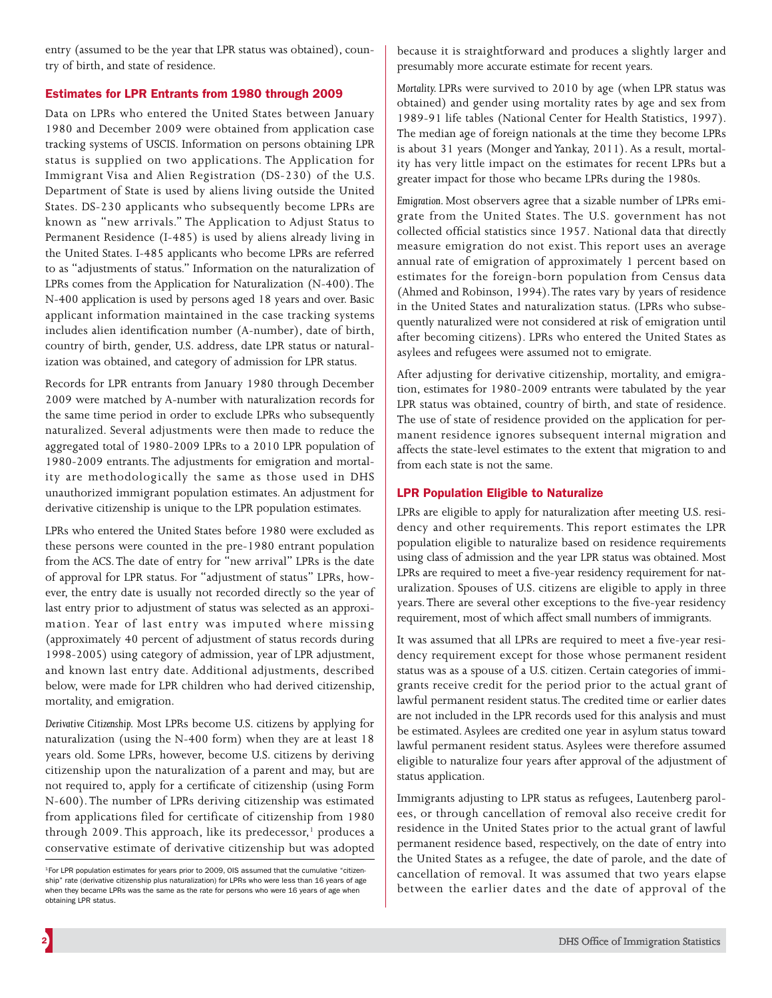entry (assumed to be the year that LPR status was obtained), country of birth, and state of residence.

## Estimates for LPR Entrants from 1980 through 2009

Data on LPRs who entered the United States between January 1980 and December 2009 were obtained from application case tracking systems of USCIS. Information on persons obtaining LPR status is supplied on two applications. The Application for Immigrant Visa and Alien Registration (DS-230) of the U.S. Department of State is used by aliens living outside the United States. DS-230 applicants who subsequently become LPRs are known as "new arrivals." The Application to Adjust Status to Permanent Residence (I-485) is used by aliens already living in the United States. I-485 applicants who become LPRs are referred to as "adjustments of status." Information on the naturalization of LPRs comes from the Application for Naturalization (N-400). The N-400 application is used by persons aged 18 years and over. Basic applicant information maintained in the case tracking systems includes alien identification number (A-number), date of birth, country of birth, gender, U.S. address, date LPR status or naturalization was obtained, and category of admission for LPR status.

Records for LPR entrants from January 1980 through December 2009 were matched by A-number with naturalization records for the same time period in order to exclude LPRs who subsequently naturalized. Several adjustments were then made to reduce the aggregated total of 1980-2009 LPRs to a 2010 LPR population of 1980-2009 entrants. The adjustments for emigration and mortality are methodologically the same as those used in DHS unauthorized immigrant population estimates. An adjustment for derivative citizenship is unique to the LPR population estimates.

LPRs who entered the United States before 1980 were excluded as these persons were counted in the pre-1980 entrant population from the ACS. The date of entry for "new arrival" LPRs is the date of approval for LPR status. For "adjustment of status" LPRs, however, the entry date is usually not recorded directly so the year of last entry prior to adjustment of status was selected as an approximation. Year of last entry was imputed where missing (approximately 40 percent of adjustment of status records during 1998-2005) using category of admission, year of LPR adjustment, and known last entry date. Additional adjustments, described below, were made for LPR children who had derived citizenship, mortality, and emigration.

*Derivative Citizenship.* Most LPRs become U.S. citizens by applying for naturalization (using the N-400 form) when they are at least 18 years old. Some LPRs, however, become U.S. citizens by deriving citizenship upon the naturalization of a parent and may, but are not required to, apply for a certificate of citizenship (using Form N-600). The number of LPRs deriving citizenship was estimated from applications filed for certificate of citizenship from 1980 through 2009. This approach, like its predecessor,<sup>1</sup> produces a conservative estimate of derivative citizenship but was adopted

because it is straightforward and produces a slightly larger and presumably more accurate estimate for recent years.

*Mortality.* LPRs were survived to 2010 by age (when LPR status was obtained) and gender using mortality rates by age and sex from 1989-91 life tables (National Center for Health Statistics, 1997). The median age of foreign nationals at the time they become LPRs is about 31 years (Monger and Yankay, 2011). As a result, mortality has very little impact on the estimates for recent LPRs but a greater impact for those who became LPRs during the 1980s.

*Emigration.* Most observers agree that a sizable number of LPRs emigrate from the United States. The U.S. government has not collected official statistics since 1957. National data that directly measure emigration do not exist. This report uses an average annual rate of emigration of approximately 1 percent based on estimates for the foreign-born population from Census data (Ahmed and Robinson, 1994). The rates vary by years of residence in the United States and naturalization status. (LPRs who subsequently naturalized were not considered at risk of emigration until after becoming citizens). LPRs who entered the United States as asylees and refugees were assumed not to emigrate.

After adjusting for derivative citizenship, mortality, and emigration, estimates for 1980-2009 entrants were tabulated by the year LPR status was obtained, country of birth, and state of residence. The use of state of residence provided on the application for permanent residence ignores subsequent internal migration and affects the state-level estimates to the extent that migration to and from each state is not the same.

## LPR Population Eligible to Naturalize

LPRs are eligible to apply for naturalization after meeting U.S. residency and other requirements. This report estimates the LPR population eligible to naturalize based on residence requirements using class of admission and the year LPR status was obtained. Most LPRs are required to meet a five-year residency requirement for naturalization. Spouses of U.S. citizens are eligible to apply in three years. There are several other exceptions to the five-year residency requirement, most of which affect small numbers of immigrants.

It was assumed that all LPRs are required to meet a five-year residency requirement except for those whose permanent resident status was as a spouse of a U.S. citizen. Certain categories of immigrants receive credit for the period prior to the actual grant of lawful permanent resident status. The credited time or earlier dates are not included in the LPR records used for this analysis and must be estimated. Asylees are credited one year in asylum status toward lawful permanent resident status. Asylees were therefore assumed eligible to naturalize four years after approval of the adjustment of status application.

Immigrants adjusting to LPR status as refugees, Lautenberg parolees, or through cancellation of removal also receive credit for residence in the United States prior to the actual grant of lawful permanent residence based, respectively, on the date of entry into the United States as a refugee, the date of parole, and the date of cancellation of removal. It was assumed that two years elapse between the earlier dates and the date of approval of the

<sup>1</sup> For LPR population estimates for years prior to 2009, OIS assumed that the cumulative "citizenship" rate (derivative citizenship plus naturalization) for LPRs who were less than 16 years of age when they became LPRs was the same as the rate for persons who were 16 years of age when obtaining LPR status.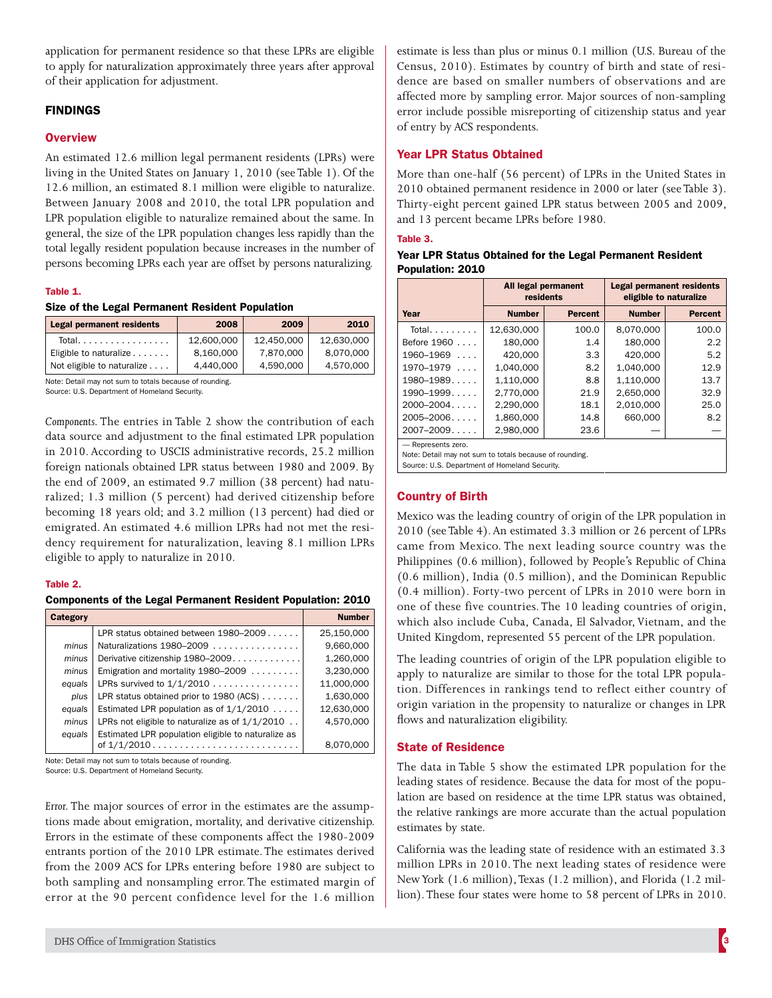application for permanent residence so that these LPRs are eligible to apply for naturalization approximately three years after approval of their application for adjustment.

## FINDINGS

### **Overview**

An estimated 12.6 million legal permanent residents (LPRs) were living in the United States on January 1, 2010 (see Table 1). Of the 12.6 million, an estimated 8.1 million were eligible to naturalize. Between January 2008 and 2010, the total LPR population and LPR population eligible to naturalize remained about the same. In general, the size of the LPR population changes less rapidly than the total legally resident population because increases in the number of persons becoming LPRs each year are offset by persons naturalizing.

#### Table 1.

#### Size of the Legal Permanent Resident Population

| <b>Legal permanent residents</b> | 2008       | 2009       | 2010       |
|----------------------------------|------------|------------|------------|
| Total.                           | 12.600.000 | 12.450.000 | 12.630.000 |
| Eligible to naturalize           | 8.160.000  | 7.870.000  | 8,070,000  |
| Not eligible to naturalize       | 4.440.000  | 4.590.000  | 4,570,000  |

Note: Detail may not sum to totals because of rounding. Source: U.S. Department of Homeland Security.

*Components.* The entries in Table 2 show the contribution of each data source and adjustment to the final estimated LPR population in 2010. According to USCIS administrative records, 25.2 million foreign nationals obtained LPR status between 1980 and 2009. By the end of 2009, an estimated 9.7 million (38 percent) had naturalized; 1.3 million (5 percent) had derived citizenship before becoming 18 years old; and 3.2 million (13 percent) had died or emigrated. An estimated 4.6 million LPRs had not met the residency requirement for naturalization, leaving 8.1 million LPRs eligible to apply to naturalize in 2010.

#### Table 2.

#### Components of the Legal Permanent Resident Population: 2010

| Category |                                                           | <b>Number</b> |
|----------|-----------------------------------------------------------|---------------|
|          | LPR status obtained between $1980-2009$                   | 25,150,000    |
| minus    | Naturalizations 1980-2009                                 | 9,660,000     |
| minus    | Derivative citizenship 1980–2009.                         | 1,260,000     |
| minus    | Emigration and mortality 1980–2009                        | 3,230,000     |
| equals   | LPRs survived to $1/1/2010$                               | 11,000,000    |
| plus     | LPR status obtained prior to $1980$ (ACS) $\ldots \ldots$ | 1,630,000     |
| equals   | Estimated LPR population as of $1/1/2010$                 | 12,630,000    |
| minus    | LPRs not eligible to naturalize as of $1/1/2010$          | 4,570,000     |
| equals   | Estimated LPR population eligible to naturalize as        |               |
|          |                                                           | 8.070.000     |

Note: Detail may not sum to totals because of rounding.

Source: U.S. Department of Homeland Security.

*Error.* The major sources of error in the estimates are the assumptions made about emigration, mortality, and derivative citizenship. Errors in the estimate of these components affect the 1980-2009 entrants portion of the 2010 LPR estimate. The estimates derived from the 2009 ACS for LPRs entering before 1980 are subject to both sampling and nonsampling error. The estimated margin of error at the 90 percent confidence level for the 1.6 million

estimate is less than plus or minus 0.1 million (U.S. Bureau of the Census, 2010). Estimates by country of birth and state of residence are based on smaller numbers of observations and are affected more by sampling error. Major sources of non-sampling error include possible misreporting of citizenship status and year of entry by ACS respondents.

## Year LPR Status Obtained

More than one-half (56 percent) of LPRs in the United States in 2010 obtained permanent residence in 2000 or later (see Table 3). Thirty-eight percent gained LPR status between 2005 and 2009, and 13 percent became LPRs before 1980.

#### Table 3.

| Year LPR Status Obtained for the Legal Permanent Resident |  |
|-----------------------------------------------------------|--|
| Population: 2010                                          |  |

|                       | All legal permanent<br>residents |                | <b>Legal permanent residents</b><br>eligible to naturalize |                |
|-----------------------|----------------------------------|----------------|------------------------------------------------------------|----------------|
| Year                  | <b>Number</b>                    | <b>Percent</b> | <b>Number</b>                                              | <b>Percent</b> |
| Total. $\ldots$       | 12,630,000                       | 100.0          | 8,070,000                                                  | 100.0          |
| Before 1960           | 180,000                          | 1.4            | 180.000                                                    | 2.2            |
| $1960 - 1969$         | 420.000                          | 3.3            | 420.000                                                    | 5.2            |
| 1970–1979<br>$\ldots$ | 1,040,000                        | 8.2            | 1.040.000                                                  | 12.9           |
| $1980 - 1989$         | 1,110,000                        | 8.8            | 1,110,000                                                  | 13.7           |
| $1990 - 1999$         | 2.770.000                        | 21.9           | 2.650.000                                                  | 32.9           |
| $2000 - 2004$         | 2,290,000                        | 18.1           | 2.010.000                                                  | 25.0           |
| $2005 - 2006$         | 1.860.000                        | 14.8           | 660,000                                                    | 8.2            |
| $2007 - 2009$         | 2,980,000                        | 23.6           |                                                            |                |
| - Represents zero.    |                                  |                |                                                            |                |

Note: Detail may not sum to totals because of rounding.

Source: U.S. Department of Homeland Security.

# Country of Birth

Mexico was the leading country of origin of the LPR population in 2010 (see Table 4). An estimated 3.3 million or 26 percent of LPRs came from Mexico. The next leading source country was the Philippines (0.6 million), followed by People's Republic of China (0.6 million), India (0.5 million), and the Dominican Republic (0.4 million). Forty-two percent of LPRs in 2010 were born in one of these five countries. The 10 leading countries of origin, which also include Cuba, Canada, El Salvador, Vietnam, and the United Kingdom, represented 55 percent of the LPR population.

The leading countries of origin of the LPR population eligible to apply to naturalize are similar to those for the total LPR population. Differences in rankings tend to reflect either country of origin variation in the propensity to naturalize or changes in LPR flows and naturalization eligibility.

## State of Residence

The data in Table 5 show the estimated LPR population for the leading states of residence. Because the data for most of the population are based on residence at the time LPR status was obtained, the relative rankings are more accurate than the actual population estimates by state.

California was the leading state of residence with an estimated 3.3 million LPRs in 2010. The next leading states of residence were New York (1.6 million), Texas (1.2 million), and Florida (1.2 million). These four states were home to 58 percent of LPRs in 2010.